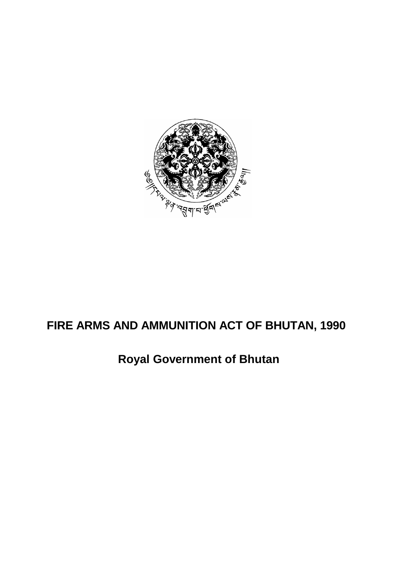

# **FIRE ARMS AND AMMUNITION ACT OF BHUTAN, 1990**

# **Royal Government of Bhutan**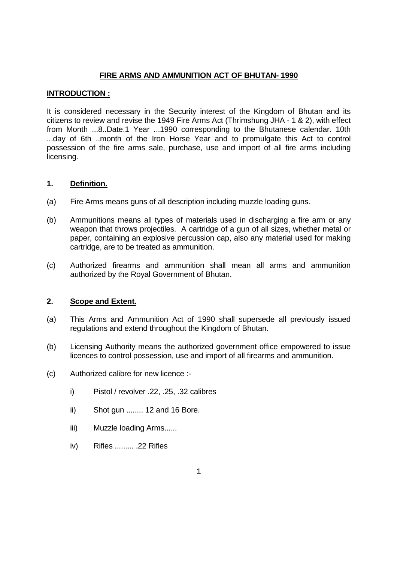# **FIRE ARMS AND AMMUNITION ACT OF BHUTAN- 1990**

# **INTRODUCTION :**

It is considered necessary in the Security interest of the Kingdom of Bhutan and its citizens to review and revise the 1949 Fire Arms Act (Thrimshung JHA - 1 & 2), with effect from Month ...8..Date.1 Year ...1990 corresponding to the Bhutanese calendar. 10th ...day of 6th ..month of the Iron Horse Year and to promulgate this Act to control possession of the fire arms sale, purchase, use and import of all fire arms including licensing.

# **1. Definition.**

- (a) Fire Arms means guns of all description including muzzle loading guns.
- (b) Ammunitions means all types of materials used in discharging a fire arm or any weapon that throws projectiles. A cartridge of a gun of all sizes, whether metal or paper, containing an explosive percussion cap, also any material used for making cartridge, are to be treated as ammunition.
- (c) Authorized firearms and ammunition shall mean all arms and ammunition authorized by the Royal Government of Bhutan.

# **2. Scope and Extent.**

- (a) This Arms and Ammunition Act of 1990 shall supersede all previously issued regulations and extend throughout the Kingdom of Bhutan.
- (b) Licensing Authority means the authorized government office empowered to issue licences to control possession, use and import of all firearms and ammunition.
- (c) Authorized calibre for new licence :
	- i) Pistol / revolver .22, .25, .32 calibres
	- ii) Shot gun ........ 12 and 16 Bore.
	- iii) Muzzle loading Arms......
	- iv) Rifles ......... .22 Rifles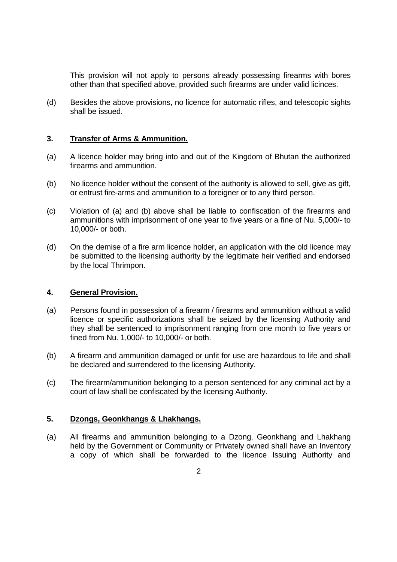This provision will not apply to persons already possessing firearms with bores other than that specified above, provided such firearms are under valid licinces.

(d) Besides the above provisions, no licence for automatic rifles, and telescopic sights shall be issued.

# **3. Transfer of Arms & Ammunition.**

- (a) A licence holder may bring into and out of the Kingdom of Bhutan the authorized firearms and ammunition.
- (b) No licence holder without the consent of the authority is allowed to sell, give as gift, or entrust fire-arms and ammunition to a foreigner or to any third person.
- (c) Violation of (a) and (b) above shall be liable to confiscation of the firearms and ammunitions with imprisonment of one year to five years or a fine of Nu. 5,000/- to 10,000/- or both.
- (d) On the demise of a fire arm licence holder, an application with the old licence may be submitted to the licensing authority by the legitimate heir verified and endorsed by the local Thrimpon.

## **4. General Provision.**

- (a) Persons found in possession of a firearm / firearms and ammunition without a valid licence or specific authorizations shall be seized by the licensing Authority and they shall be sentenced to imprisonment ranging from one month to five years or fined from Nu. 1,000/- to 10,000/- or both.
- (b) A firearm and ammunition damaged or unfit for use are hazardous to life and shall be declared and surrendered to the licensing Authority.
- (c) The firearm/ammunition belonging to a person sentenced for any criminal act by a court of law shall be confiscated by the licensing Authority.

## **5. Dzongs, Geonkhangs & Lhakhangs.**

(a) All firearms and ammunition belonging to a Dzong, Geonkhang and Lhakhang held by the Government or Community or Privately owned shall have an Inventory a copy of which shall be forwarded to the licence Issuing Authority and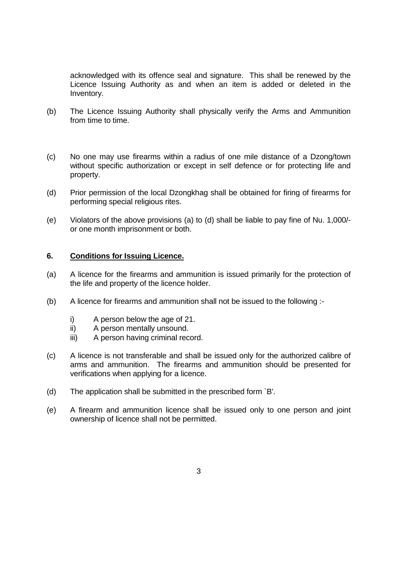acknowledged with its offence seal and signature. This shall be renewed by the Licence Issuing Authority as and when an item is added or deleted in the Inventory.

- (b) The Licence Issuing Authority shall physically verify the Arms and Ammunition from time to time.
- (c) No one may use firearms within a radius of one mile distance of a Dzong/town without specific authorization or except in self defence or for protecting life and property.
- (d) Prior permission of the local Dzongkhag shall be obtained for firing of firearms for performing special religious rites.
- (e) Violators of the above provisions (a) to (d) shall be liable to pay fine of Nu. 1,000/ or one month imprisonment or both.

# **6. Conditions for Issuing Licence.**

- (a) A licence for the firearms and ammunition is issued primarily for the protection of the life and property of the licence holder.
- (b) A licence for firearms and ammunition shall not be issued to the following :
	- i) A person below the age of 21.
	- ii) A person mentally unsound.
	- iii) A person having criminal record.
- (c) A licence is not transferable and shall be issued only for the authorized calibre of arms and ammunition. The firearms and ammunition should be presented for verifications when applying for a licence.
- (d) The application shall be submitted in the prescribed form `B'.
- (e) A firearm and ammunition licence shall be issued only to one person and joint ownership of licence shall not be permitted.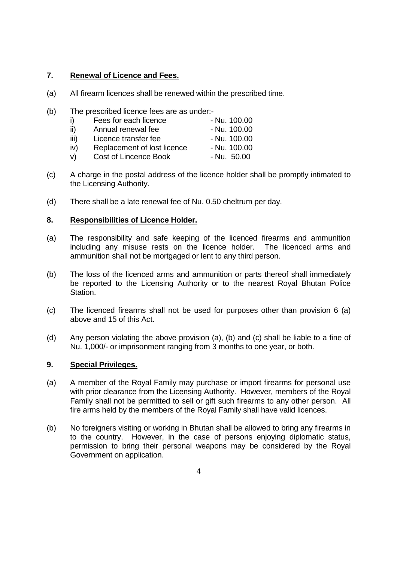# **7. Renewal of Licence and Fees.**

- (a) All firearm licences shall be renewed within the prescribed time.
- (b) The prescribed licence fees are as under:-

|      | Fees for each licence        | - Nu. 100.00 |
|------|------------------------------|--------------|
| ii)  | Annual renewal fee           | - Nu. 100.00 |
| iii) | Licence transfer fee         | - Nu. 100.00 |
| iv)  | Replacement of lost licence  | - Nu. 100.00 |
| V)   | <b>Cost of Lincence Book</b> | - Nu. 50.00  |

- (c) A charge in the postal address of the licence holder shall be promptly intimated to the Licensing Authority.
- (d) There shall be a late renewal fee of Nu. 0.50 cheltrum per day.

# **8. Responsibilities of Licence Holder.**

- (a) The responsibility and safe keeping of the licenced firearms and ammunition including any misuse rests on the licence holder. The licenced arms and ammunition shall not be mortgaged or lent to any third person.
- (b) The loss of the licenced arms and ammunition or parts thereof shall immediately be reported to the Licensing Authority or to the nearest Royal Bhutan Police Station.
- (c) The licenced firearms shall not be used for purposes other than provision 6 (a) above and 15 of this Act.
- (d) Any person violating the above provision (a), (b) and (c) shall be liable to a fine of Nu. 1,000/- or imprisonment ranging from 3 months to one year, or both.

# **9. Special Privileges.**

- (a) A member of the Royal Family may purchase or import firearms for personal use with prior clearance from the Licensing Authority. However, members of the Royal Family shall not be permitted to sell or gift such firearms to any other person. All fire arms held by the members of the Royal Family shall have valid licences.
- (b) No foreigners visiting or working in Bhutan shall be allowed to bring any firearms in to the country. However, in the case of persons enjoying diplomatic status, permission to bring their personal weapons may be considered by the Royal Government on application.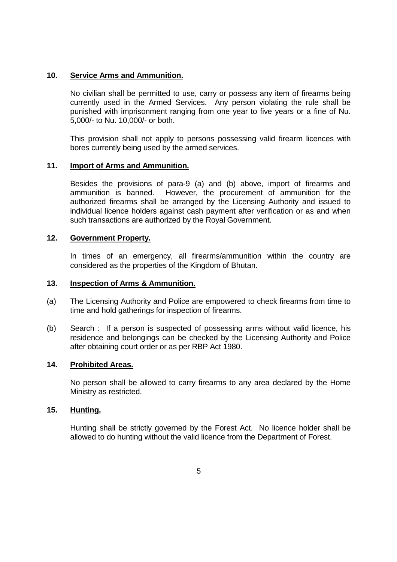# **10. Service Arms and Ammunition.**

 No civilian shall be permitted to use, carry or possess any item of firearms being currently used in the Armed Services. Any person violating the rule shall be punished with imprisonment ranging from one year to five years or a fine of Nu. 5,000/- to Nu. 10,000/- or both.

 This provision shall not apply to persons possessing valid firearm licences with bores currently being used by the armed services.

## **11. Import of Arms and Ammunition.**

 Besides the provisions of para-9 (a) and (b) above, import of firearms and ammunition is banned. However, the procurement of ammunition for the authorized firearms shall be arranged by the Licensing Authority and issued to individual licence holders against cash payment after verification or as and when such transactions are authorized by the Royal Government.

### **12. Government Property.**

 In times of an emergency, all firearms/ammunition within the country are considered as the properties of the Kingdom of Bhutan.

### **13. Inspection of Arms & Ammunition.**

- (a) The Licensing Authority and Police are empowered to check firearms from time to time and hold gatherings for inspection of firearms.
- (b) Search : If a person is suspected of possessing arms without valid licence, his residence and belongings can be checked by the Licensing Authority and Police after obtaining court order or as per RBP Act 1980.

# **14. Prohibited Areas.**

 No person shall be allowed to carry firearms to any area declared by the Home Ministry as restricted.

# **15. Hunting.**

 Hunting shall be strictly governed by the Forest Act. No licence holder shall be allowed to do hunting without the valid licence from the Department of Forest.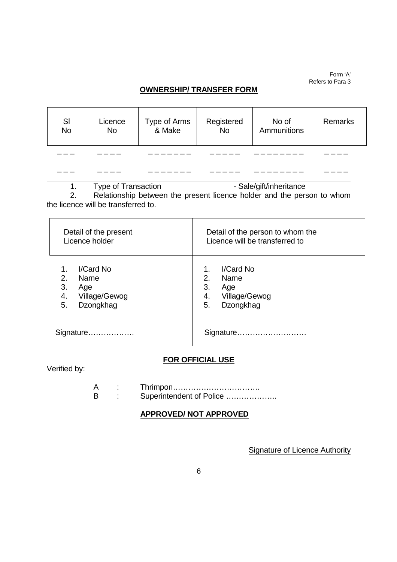Form 'A' Refers to Para 3

# **OWNERSHIP/ TRANSFER FORM**

| SI<br><b>No</b> | Licence<br><b>No</b> | Type of Arms<br>& Make | Registered<br><b>No</b> | No of<br>Ammunitions | Remarks |
|-----------------|----------------------|------------------------|-------------------------|----------------------|---------|
|                 |                      |                        |                         |                      |         |
|                 |                      |                        |                         |                      |         |

1. Type of Transaction **Constructs** - Sale/gift/inheritance

2. Relationship between the present licence holder and the person to whom the licence will be transferred to.

| Detail of the present<br>Licence holder                                        | Detail of the person to whom the<br>Licence will be transferred to                   |  |
|--------------------------------------------------------------------------------|--------------------------------------------------------------------------------------|--|
| I/Card No<br>2.<br>Name<br>3.<br>Age<br>4.<br>Village/Gewog<br>Dzongkhag<br>5. | I/Card No<br>1.<br>2.<br>Name<br>3.<br>Age<br>Village/Gewog<br>4.<br>Dzongkhag<br>5. |  |
| Signature                                                                      | Signature                                                                            |  |

# **FOR OFFICIAL USE**

Verified by:

 $\overline{a}$ 

 A : Thrimpon……………………………. B : Superintendent of Police ....................

# **APPROVED/ NOT APPROVED**

**Signature of Licence Authority**